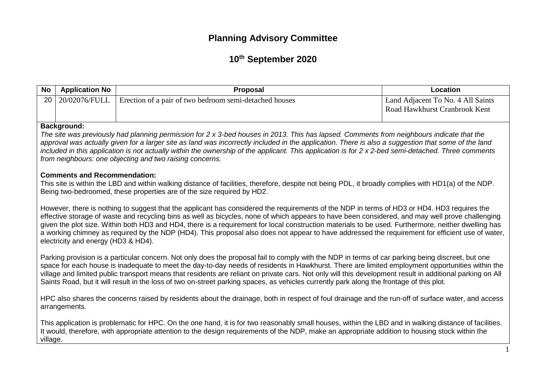# **Planning Advisory Committee**

# **10 th September 2020**

| <b>No</b> | <b>Application No</b>                                                                                                                                                                                                                                                                                                                                                                                                                                                                                                                                                                                                                             | <b>Proposal</b>                                        | Location                                                           |  |
|-----------|---------------------------------------------------------------------------------------------------------------------------------------------------------------------------------------------------------------------------------------------------------------------------------------------------------------------------------------------------------------------------------------------------------------------------------------------------------------------------------------------------------------------------------------------------------------------------------------------------------------------------------------------------|--------------------------------------------------------|--------------------------------------------------------------------|--|
| 20        | 20/02076/FULL                                                                                                                                                                                                                                                                                                                                                                                                                                                                                                                                                                                                                                     | Erection of a pair of two bedroom semi-detached houses | Land Adjacent To No. 4 All Saints<br>Road Hawkhurst Cranbrook Kent |  |
|           | <b>Background:</b><br>The site was previously had planning permission for 2 x 3-bed houses in 2013. This has lapsed. Comments from neighbours indicate that the<br>approval was actually given for a larger site as land was incorrectly included in the application. There is also a suggestion that some of the land<br>included in this application is not actually within the ownership of the applicant. This application is for 2 x 2-bed semi-detached. Three comments<br>from neighbours: one objecting and two raising concerns.                                                                                                         |                                                        |                                                                    |  |
|           | <b>Comments and Recommendation:</b><br>This site is within the LBD and within walking distance of facilities, therefore, despite not being PDL, it broadly complies with HD1(a) of the NDP.<br>Being two-bedroomed, these properties are of the size required by HD2.                                                                                                                                                                                                                                                                                                                                                                             |                                                        |                                                                    |  |
|           | However, there is nothing to suggest that the applicant has considered the requirements of the NDP in terms of HD3 or HD4. HD3 requires the<br>effective storage of waste and recycling bins as well as bicycles, none of which appears to have been considered, and may well prove challenging<br>given the plot size. Within both HD3 and HD4, there is a requirement for local construction materials to be used. Furthermore, neither dwelling has<br>a working chimney as required by the NDP (HD4). This proposal also does not appear to have addressed the requirement for efficient use of water,<br>electricity and energy (HD3 & HD4). |                                                        |                                                                    |  |
|           | Parking provision is a particular concern. Not only does the proposal fail to comply with the NDP in terms of car parking being discreet, but one<br>space for each house is inadequate to meet the day-to-day needs of residents in Hawkhurst. There are limited employment opportunities within the<br>village and limited public transport means that residents are reliant on private cars. Not only will this development result in additional parking on All<br>Saints Road, but it will result in the loss of two on-street parking spaces, as vehicles currently park along the frontage of this plot.                                    |                                                        |                                                                    |  |
|           | HPC also shares the concerns raised by residents about the drainage, both in respect of foul drainage and the run-off of surface water, and access<br>arrangements.                                                                                                                                                                                                                                                                                                                                                                                                                                                                               |                                                        |                                                                    |  |
|           | This application is problematic for HPC. On the one hand, it is for two reasonably small houses, within the LBD and in walking distance of facilities.<br>It would, therefore, with appropriate attention to the design requirements of the NDP, make an appropriate addition to housing stock within the<br>village.                                                                                                                                                                                                                                                                                                                             |                                                        |                                                                    |  |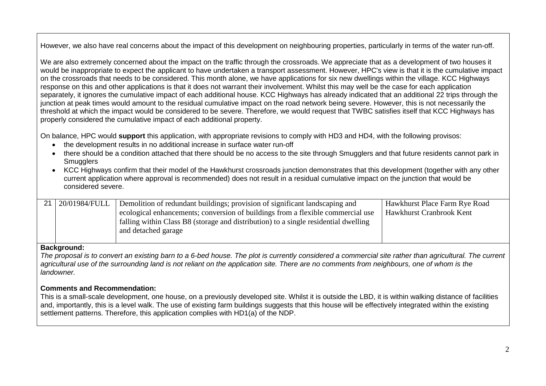However, we also have real concerns about the impact of this development on neighbouring properties, particularly in terms of the water run-off.

We are also extremely concerned about the impact on the traffic through the crossroads. We appreciate that as a development of two houses it would be inappropriate to expect the applicant to have undertaken a transport assessment. However, HPC's view is that it is the cumulative impact on the crossroads that needs to be considered. This month alone, we have applications for six new dwellings within the village. KCC Highways response on this and other applications is that it does not warrant their involvement. Whilst this may well be the case for each application separately, it ignores the cumulative impact of each additional house. KCC Highways has already indicated that an additional 22 trips through the junction at peak times would amount to the residual cumulative impact on the road network being severe. However, this is not necessarily the threshold at which the impact would be considered to be severe. Therefore, we would request that TWBC satisfies itself that KCC Highways has properly considered the cumulative impact of each additional property.

On balance, HPC would **support** this application, with appropriate revisions to comply with HD3 and HD4, with the following provisos:

- the development results in no additional increase in surface water run-off
- there should be a condition attached that there should be no access to the site through Smugglers and that future residents cannot park in **Smugglers**
- KCC Highways confirm that their model of the Hawkhurst crossroads junction demonstrates that this development (together with any other current application where approval is recommended) does not result in a residual cumulative impact on the junction that would be considered severe.

| 21 20/01984/FULL | Demolition of redundant buildings; provision of significant landscaping and         | Hawkhurst Place Farm Rye Road |
|------------------|-------------------------------------------------------------------------------------|-------------------------------|
|                  | ecological enhancements; conversion of buildings from a flexible commercial use     | Hawkhurst Cranbrook Kent      |
|                  | falling within Class B8 (storage and distribution) to a single residential dwelling |                               |
|                  | and detached garage                                                                 |                               |
|                  |                                                                                     |                               |

#### **Background:**

*The proposal is to convert an existing barn to a 6-bed house. The plot is currently considered a commercial site rather than agricultural. The current* agricultural use of the surrounding land is not reliant on the application site. There are no comments from neighbours, one of whom is the *landowner.* 

#### **Comments and Recommendation:**

This is a small-scale development, one house, on a previously developed site. Whilst it is outside the LBD, it is within walking distance of facilities and, importantly, this is a level walk. The use of existing farm buildings suggests that this house will be effectively integrated within the existing settlement patterns. Therefore, this application complies with HD1(a) of the NDP.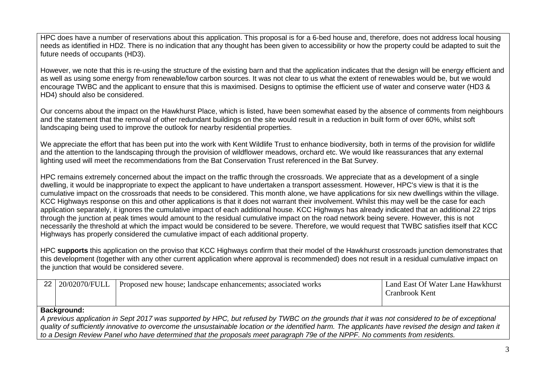HPC does have a number of reservations about this application. This proposal is for a 6-bed house and, therefore, does not address local housing needs as identified in HD2. There is no indication that any thought has been given to accessibility or how the property could be adapted to suit the future needs of occupants (HD3).

However, we note that this is re-using the structure of the existing barn and that the application indicates that the design will be energy efficient and as well as using some energy from renewable/low carbon sources. It was not clear to us what the extent of renewables would be, but we would encourage TWBC and the applicant to ensure that this is maximised. Designs to optimise the efficient use of water and conserve water (HD3 & HD4) should also be considered.

Our concerns about the impact on the Hawkhurst Place, which is listed, have been somewhat eased by the absence of comments from neighbours and the statement that the removal of other redundant buildings on the site would result in a reduction in built form of over 60%, whilst soft landscaping being used to improve the outlook for nearby residential properties.

We appreciate the effort that has been put into the work with Kent Wildlife Trust to enhance biodiversity, both in terms of the provision for wildlife and the attention to the landscaping through the provision of wildflower meadows, orchard etc. We would like reassurances that any external lighting used will meet the recommendations from the Bat Conservation Trust referenced in the Bat Survey.

HPC remains extremely concerned about the impact on the traffic through the crossroads. We appreciate that as a development of a single dwelling, it would be inappropriate to expect the applicant to have undertaken a transport assessment. However, HPC's view is that it is the cumulative impact on the crossroads that needs to be considered. This month alone, we have applications for six new dwellings within the village. KCC Highways response on this and other applications is that it does not warrant their involvement. Whilst this may well be the case for each application separately, it ignores the cumulative impact of each additional house. KCC Highways has already indicated that an additional 22 trips through the junction at peak times would amount to the residual cumulative impact on the road network being severe. However, this is not necessarily the threshold at which the impact would be considered to be severe. Therefore, we would request that TWBC satisfies itself that KCC Highways has properly considered the cumulative impact of each additional property.

HPC **supports** this application on the proviso that KCC Highways confirm that their model of the Hawkhurst crossroads junction demonstrates that this development (together with any other current application where approval is recommended) does not result in a residual cumulative impact on the junction that would be considered severe.

| 22 <sub>1</sub><br>20/02070/FULL                                                                                                                            | Proposed new house; landscape enhancements; associated works | Land East Of Water Lane Hawkhurst<br>Cranbrook Kent |  |
|-------------------------------------------------------------------------------------------------------------------------------------------------------------|--------------------------------------------------------------|-----------------------------------------------------|--|
| Background:<br>A previous application in Sept 2017 was supported by HPC, but refused by TWBC on the grounds that it was not considered to be of exceptional |                                                              |                                                     |  |

*quality of sufficiently innovative to overcome the unsustainable location or the identified harm. The applicants have revised the design and taken it to a Design Review Panel who have determined that the proposals meet paragraph 79e of the NPPF. No comments from residents.*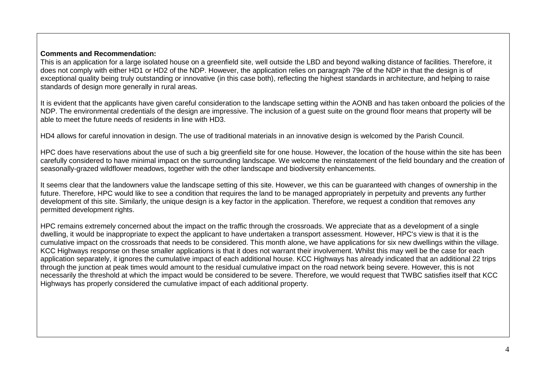#### **Comments and Recommendation:**

This is an application for a large isolated house on a greenfield site, well outside the LBD and beyond walking distance of facilities. Therefore, it does not comply with either HD1 or HD2 of the NDP. However, the application relies on paragraph 79e of the NDP in that the design is of exceptional quality being truly outstanding or innovative (in this case both), reflecting the highest standards in architecture, and helping to raise standards of design more generally in rural areas.

It is evident that the applicants have given careful consideration to the landscape setting within the AONB and has taken onboard the policies of the NDP. The environmental credentials of the design are impressive. The inclusion of a quest suite on the ground floor means that property will be able to meet the future needs of residents in line with HD3.

HD4 allows for careful innovation in design. The use of traditional materials in an innovative design is welcomed by the Parish Council.

HPC does have reservations about the use of such a big greenfield site for one house. However, the location of the house within the site has been carefully considered to have minimal impact on the surrounding landscape. We welcome the reinstatement of the field boundary and the creation of seasonally-grazed wildflower meadows, together with the other landscape and biodiversity enhancements.

It seems clear that the landowners value the landscape setting of this site. However, we this can be guaranteed with changes of ownership in the future. Therefore, HPC would like to see a condition that requires the land to be managed appropriately in perpetuity and prevents any further development of this site. Similarly, the unique design is a key factor in the application. Therefore, we request a condition that removes any permitted development rights.

HPC remains extremely concerned about the impact on the traffic through the crossroads. We appreciate that as a development of a single dwelling, it would be inappropriate to expect the applicant to have undertaken a transport assessment. However, HPC's view is that it is the cumulative impact on the crossroads that needs to be considered. This month alone, we have applications for six new dwellings within the village. KCC Highways response on these smaller applications is that it does not warrant their involvement. Whilst this may well be the case for each application separately, it ignores the cumulative impact of each additional house. KCC Highways has already indicated that an additional 22 trips through the junction at peak times would amount to the residual cumulative impact on the road network being severe. However, this is not necessarily the threshold at which the impact would be considered to be severe. Therefore, we would request that TWBC satisfies itself that KCC Highways has properly considered the cumulative impact of each additional property.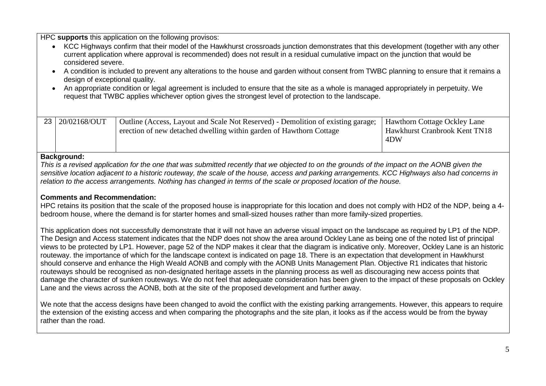HPC **supports** this application on the following provisos:

- KCC Highways confirm that their model of the Hawkhurst crossroads junction demonstrates that this development (together with any other current application where approval is recommended) does not result in a residual cumulative impact on the junction that would be considered severe.
- A condition is included to prevent any alterations to the house and garden without consent from TWBC planning to ensure that it remains a design of exceptional quality.
- An appropriate condition or legal agreement is included to ensure that the site as a whole is managed appropriately in perpetuity. We request that TWBC applies whichever option gives the strongest level of protection to the landscape.

| 23 20/02168/OUT | Outline (Access, Layout and Scale Not Reserved) - Demolition of existing garage; | Hawthorn Cottage Ockley Lane  |
|-----------------|----------------------------------------------------------------------------------|-------------------------------|
|                 | erection of new detached dwelling within garden of Hawthorn Cottage              | Hawkhurst Cranbrook Kent TN18 |
|                 |                                                                                  | 4DW                           |
|                 |                                                                                  |                               |

#### **Background:**

*This is a revised application for the one that was submitted recently that we objected to on the grounds of the impact on the AONB given the sensitive location adjacent to a historic routeway, the scale of the house, access and parking arrangements. KCC Highways also had concerns in relation to the access arrangements. Nothing has changed in terms of the scale or proposed location of the house.* 

#### **Comments and Recommendation:**

HPC retains its position that the scale of the proposed house is inappropriate for this location and does not comply with HD2 of the NDP, being a 4 bedroom house, where the demand is for starter homes and small-sized houses rather than more family-sized properties.

This application does not successfully demonstrate that it will not have an adverse visual impact on the landscape as required by LP1 of the NDP. The Design and Access statement indicates that the NDP does not show the area around Ockley Lane as being one of the noted list of principal views to be protected by LP1. However, page 52 of the NDP makes it clear that the diagram is indicative only. Moreover, Ockley Lane is an historic routeway. the importance of which for the landscape context is indicated on page 18. There is an expectation that development in Hawkhurst should conserve and enhance the High Weald AONB and comply with the AONB Units Management Plan. Objective R1 indicates that historic routeways should be recognised as non-designated heritage assets in the planning process as well as discouraging new access points that damage the character of sunken routeways. We do not feel that adequate consideration has been given to the impact of these proposals on Ockley Lane and the views across the AONB, both at the site of the proposed development and further away.

We note that the access designs have been changed to avoid the conflict with the existing parking arrangements. However, this appears to require the extension of the existing access and when comparing the photographs and the site plan, it looks as if the access would be from the byway rather than the road.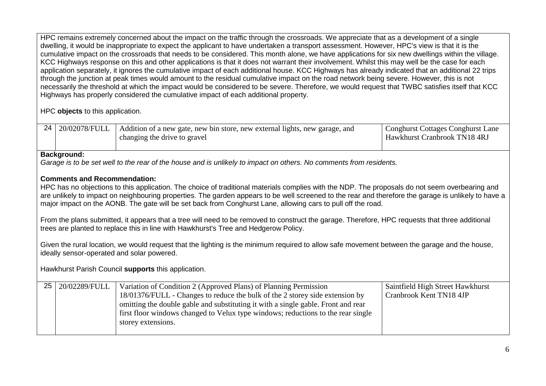HPC remains extremely concerned about the impact on the traffic through the crossroads. We appreciate that as a development of a single dwelling, it would be inappropriate to expect the applicant to have undertaken a transport assessment. However, HPC's view is that it is the cumulative impact on the crossroads that needs to be considered. This month alone, we have applications for six new dwellings within the village. KCC Highways response on this and other applications is that it does not warrant their involvement. Whilst this may well be the case for each application separately, it ignores the cumulative impact of each additional house. KCC Highways has already indicated that an additional 22 trips through the junction at peak times would amount to the residual cumulative impact on the road network being severe. However, this is not necessarily the threshold at which the impact would be considered to be severe. Therefore, we would request that TWBC satisfies itself that KCC Highways has properly considered the cumulative impact of each additional property.

HPC **objects** to this application.

| 24 20/02078/FULL | Addition of a new gate, new bin store, new external lights, new garage, and | <b>Conghurst Cottages Conghurst Lane</b> |
|------------------|-----------------------------------------------------------------------------|------------------------------------------|
|                  | changing the drive to gravel                                                | <b>Hawkhurst Cranbrook TN18 4RJ</b>      |

#### **Background:**

*Garage is to be set well to the rear of the house and is unlikely to impact on others. No comments from residents.*

## **Comments and Recommendation:**

HPC has no objections to this application. The choice of traditional materials complies with the NDP. The proposals do not seem overbearing and are unlikely to impact on neighbouring properties. The garden appears to be well screened to the rear and therefore the garage is unlikely to have a major impact on the AONB. The gate will be set back from Conghurst Lane, allowing cars to pull off the road.

From the plans submitted, it appears that a tree will need to be removed to construct the garage. Therefore, HPC requests that three additional trees are planted to replace this in line with Hawkhurst's Tree and Hedgerow Policy.

Given the rural location, we would request that the lighting is the minimum required to allow safe movement between the garage and the house, ideally sensor-operated and solar powered.

Hawkhurst Parish Council **supports** this application.

| 25 <sub>1</sub> | 20/02289/FULL | Variation of Condition 2 (Approved Plans) of Planning Permission                  | Saintfield High Street Hawkhurst |
|-----------------|---------------|-----------------------------------------------------------------------------------|----------------------------------|
|                 |               | 18/01376/FULL - Changes to reduce the bulk of the 2 storey side extension by      | Cranbrook Kent TN18 4JP          |
|                 |               | omitting the double gable and substituting it with a single gable. Front and rear |                                  |
|                 |               | first floor windows changed to Velux type windows; reductions to the rear single  |                                  |
|                 |               | storey extensions.                                                                |                                  |
|                 |               |                                                                                   |                                  |